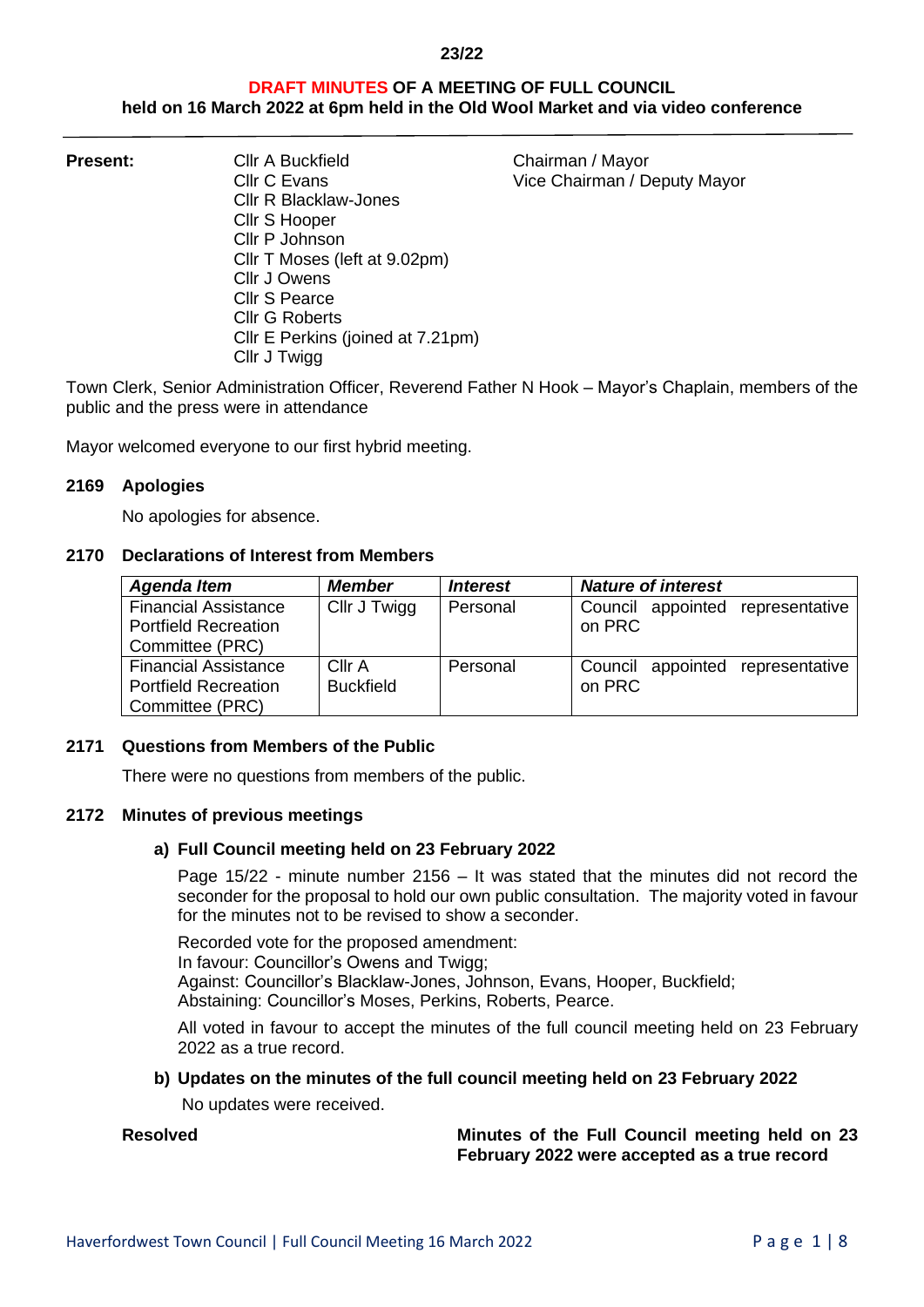# **DRAFT MINUTES OF A MEETING OF FULL COUNCIL held on 16 March 2022 at 6pm held in the Old Wool Market and via video conference**

**Present:** Cllr A Buckfield Chairman / Mayor Cllr C Evans **Vice Chairman** / Deputy Mayor Cllr R Blacklaw-Jones Cllr S Hooper Cllr P Johnson Cllr T Moses (left at 9.02pm) Cllr J Owens Cllr S Pearce Cllr G Roberts Cllr E Perkins (joined at 7.21pm) Cllr J Twigg

Town Clerk, Senior Administration Officer, Reverend Father N Hook – Mayor's Chaplain, members of the public and the press were in attendance

Mayor welcomed everyone to our first hybrid meeting.

### **2169 Apologies**

No apologies for absence.

## **2170 Declarations of Interest from Members**

| <b>Agenda Item</b>                                                            | <b>Member</b>              | <i><b>Interest</b></i> | <b>Nature of interest</b>                  |
|-------------------------------------------------------------------------------|----------------------------|------------------------|--------------------------------------------|
| <b>Financial Assistance</b><br><b>Portfield Recreation</b><br>Committee (PRC) | Cllr J Twigg               | Personal               | Council appointed representative<br>on PRC |
| <b>Financial Assistance</b><br><b>Portfield Recreation</b><br>Committee (PRC) | Cllr A<br><b>Buckfield</b> | Personal               | Council appointed representative<br>on PRC |

## **2171 Questions from Members of the Public**

There were no questions from members of the public.

## **2172 Minutes of previous meetings**

## **a) Full Council meeting held on 23 February 2022**

Page 15/22 - minute number 2156 – It was stated that the minutes did not record the seconder for the proposal to hold our own public consultation. The majority voted in favour for the minutes not to be revised to show a seconder.

Recorded vote for the proposed amendment: In favour: Councillor's Owens and Twigg; Against: Councillor's Blacklaw-Jones, Johnson, Evans, Hooper, Buckfield; Abstaining: Councillor's Moses, Perkins, Roberts, Pearce.

All voted in favour to accept the minutes of the full council meeting held on 23 February 2022 as a true record.

## **b) Updates on the minutes of the full council meeting held on 23 February 2022**

No updates were received.

**Resolved Minutes of the Full Council meeting held on 23 February 2022 were accepted as a true record**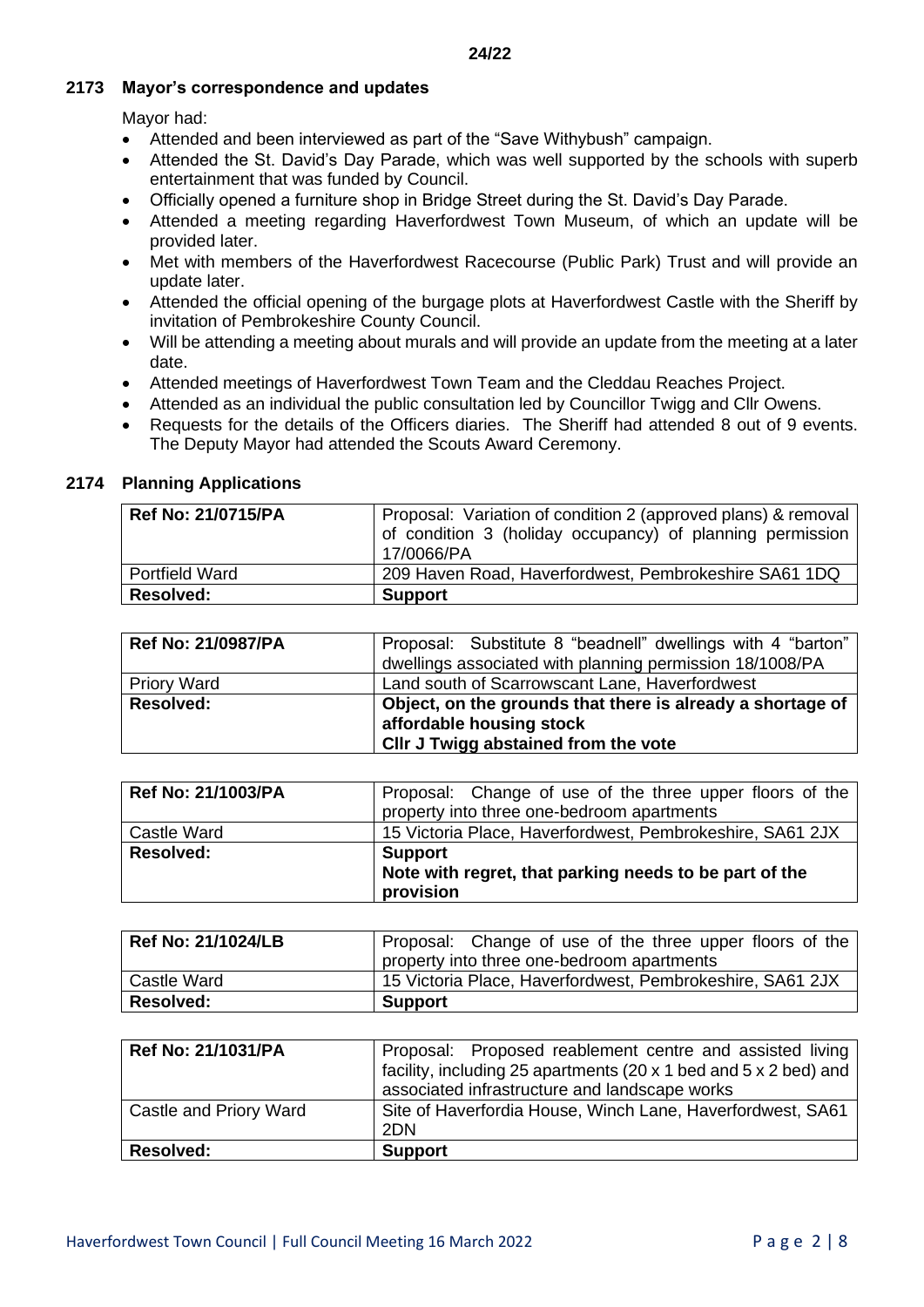## **2173 Mayor's correspondence and updates**

Mayor had:

- Attended and been interviewed as part of the "Save Withybush" campaign.
- Attended the St. David's Day Parade, which was well supported by the schools with superb entertainment that was funded by Council.
- Officially opened a furniture shop in Bridge Street during the St. David's Day Parade.
- Attended a meeting regarding Haverfordwest Town Museum, of which an update will be provided later.
- Met with members of the Haverfordwest Racecourse (Public Park) Trust and will provide an update later.
- Attended the official opening of the burgage plots at Haverfordwest Castle with the Sheriff by invitation of Pembrokeshire County Council.
- Will be attending a meeting about murals and will provide an update from the meeting at a later date.
- Attended meetings of Haverfordwest Town Team and the Cleddau Reaches Project.
- Attended as an individual the public consultation led by Councillor Twigg and Cllr Owens.
- Requests for the details of the Officers diaries. The Sheriff had attended 8 out of 9 events. The Deputy Mayor had attended the Scouts Award Ceremony.

# **2174 Planning Applications**

| <b>Ref No: 21/0715/PA</b> | Proposal: Variation of condition 2 (approved plans) & removal<br>of condition 3 (holiday occupancy) of planning permission<br>17/0066/PA |
|---------------------------|------------------------------------------------------------------------------------------------------------------------------------------|
| <b>Portfield Ward</b>     | 209 Haven Road, Haverfordwest, Pembrokeshire SA61 1DQ                                                                                    |
| <b>Resolved:</b>          | <b>Support</b>                                                                                                                           |

| Ref No: 21/0987/PA | Proposal: Substitute 8 "beadnell" dwellings with 4 "barton"<br>dwellings associated with planning permission 18/1008/PA        |
|--------------------|--------------------------------------------------------------------------------------------------------------------------------|
| <b>Priory Ward</b> | Land south of Scarrowscant Lane, Haverfordwest                                                                                 |
| <b>Resolved:</b>   | Object, on the grounds that there is already a shortage of<br>affordable housing stock<br>CIIr J Twigg abstained from the vote |

| <b>Ref No: 21/1003/PA</b> | Proposal: Change of use of the three upper floors of the  |
|---------------------------|-----------------------------------------------------------|
|                           | property into three one-bedroom apartments                |
| Castle Ward               | 15 Victoria Place, Haverfordwest, Pembrokeshire, SA61 2JX |
| <b>Resolved:</b>          | <b>Support</b>                                            |
|                           | Note with regret, that parking needs to be part of the    |
|                           | provision                                                 |

| <b>Ref No: 21/1024/LB</b> | Proposal: Change of use of the three upper floors of the  |
|---------------------------|-----------------------------------------------------------|
|                           | property into three one-bedroom apartments                |
| Castle Ward               | 15 Victoria Place, Haverfordwest, Pembrokeshire, SA61 2JX |
| <b>Resolved:</b>          | <b>Support</b>                                            |

| <b>Ref No: 21/1031/PA</b> | Proposal: Proposed reablement centre and assisted living         |
|---------------------------|------------------------------------------------------------------|
|                           | facility, including 25 apartments (20 x 1 bed and 5 x 2 bed) and |
|                           | associated infrastructure and landscape works                    |
| Castle and Priory Ward    | Site of Haverfordia House, Winch Lane, Haverfordwest, SA61       |
|                           | 2DN                                                              |
| <b>Resolved:</b>          | <b>Support</b>                                                   |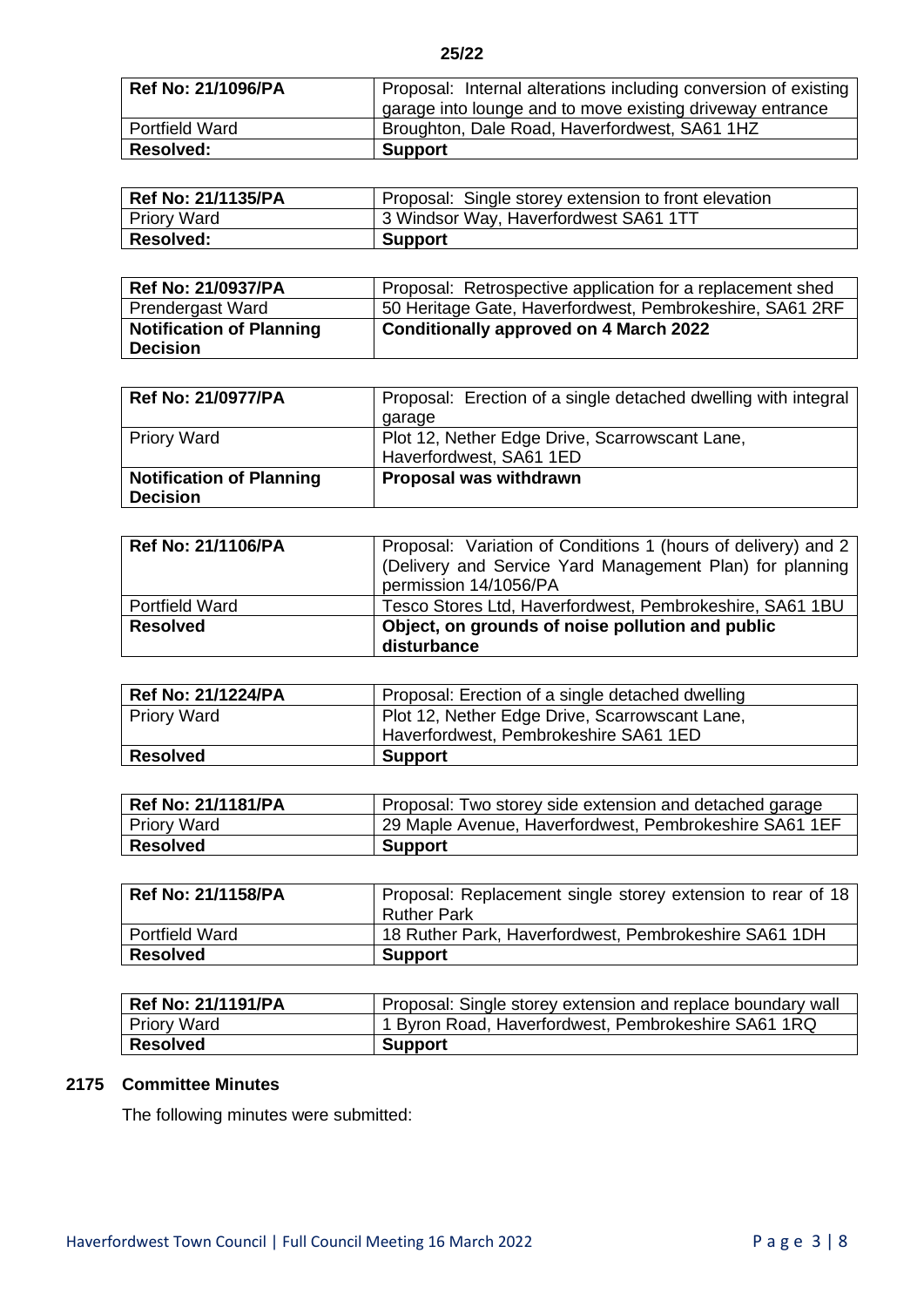| <b>Ref No: 21/1096/PA</b> | Proposal: Internal alterations including conversion of existing |
|---------------------------|-----------------------------------------------------------------|
|                           | garage into lounge and to move existing driveway entrance       |
| <b>Portfield Ward</b>     | Broughton, Dale Road, Haverfordwest, SA61 1HZ                   |
| <b>Resolved:</b>          | <b>Support</b>                                                  |

| <b>Ref No: 21/1135/PA</b> | Proposal: Single storey extension to front elevation |
|---------------------------|------------------------------------------------------|
| <b>Priory Ward</b>        | 3 Windsor Way, Haverfordwest SA61 1TT                |
| <b>Resolved:</b>          | <b>Support</b>                                       |

| <b>Ref No: 21/0937/PA</b>                          | Proposal: Retrospective application for a replacement shed |
|----------------------------------------------------|------------------------------------------------------------|
| Prendergast Ward                                   | 50 Heritage Gate, Haverfordwest, Pembrokeshire, SA61 2RF   |
| <b>Notification of Planning</b><br><b>Decision</b> | Conditionally approved on 4 March 2022                     |

| <b>Ref No: 21/0977/PA</b>       | Proposal: Erection of a single detached dwelling with integral |
|---------------------------------|----------------------------------------------------------------|
|                                 | garage                                                         |
| <b>Priory Ward</b>              | Plot 12, Nether Edge Drive, Scarrowscant Lane,                 |
|                                 | Haverfordwest, SA61 1ED                                        |
| <b>Notification of Planning</b> | Proposal was withdrawn                                         |
| <b>Decision</b>                 |                                                                |

| <b>Ref No: 21/1106/PA</b> | Proposal: Variation of Conditions 1 (hours of delivery) and 2<br>(Delivery and Service Yard Management Plan) for planning<br>permission 14/1056/PA |
|---------------------------|----------------------------------------------------------------------------------------------------------------------------------------------------|
| <b>Portfield Ward</b>     | Tesco Stores Ltd, Haverfordwest, Pembrokeshire, SA61 1BU                                                                                           |
| <b>Resolved</b>           | Object, on grounds of noise pollution and public<br>disturbance                                                                                    |

| <b>Ref No: 21/1224/PA</b> | Proposal: Erection of a single detached dwelling |
|---------------------------|--------------------------------------------------|
| <b>Priory Ward</b>        | Plot 12, Nether Edge Drive, Scarrowscant Lane,   |
|                           | Haverfordwest, Pembrokeshire SA61 1ED            |
| <b>Resolved</b>           | <b>Support</b>                                   |

| <b>Ref No: 21/1181/PA</b> | Proposal: Two storey side extension and detached garage |
|---------------------------|---------------------------------------------------------|
| <b>Priory Ward</b>        | 29 Maple Avenue, Haverfordwest, Pembrokeshire SA61 1EF  |
| <b>Resolved</b>           | <b>Support</b>                                          |

| <b>Ref No: 21/1158/PA</b> | Proposal: Replacement single storey extension to rear of 18 |
|---------------------------|-------------------------------------------------------------|
|                           | Ruther Park                                                 |
| <b>Portfield Ward</b>     | 18 Ruther Park, Haverfordwest, Pembrokeshire SA61 1DH       |
| <b>Resolved</b>           | <b>Support</b>                                              |

| <b>Ref No: 21/1191/PA</b> | Proposal: Single storey extension and replace boundary wall |
|---------------------------|-------------------------------------------------------------|
| <b>Priory Ward</b>        | 1 Byron Road, Haverfordwest, Pembrokeshire SA61 1RQ         |
| Resolved                  | <b>Support</b>                                              |

# **2175 Committee Minutes**

The following minutes were submitted: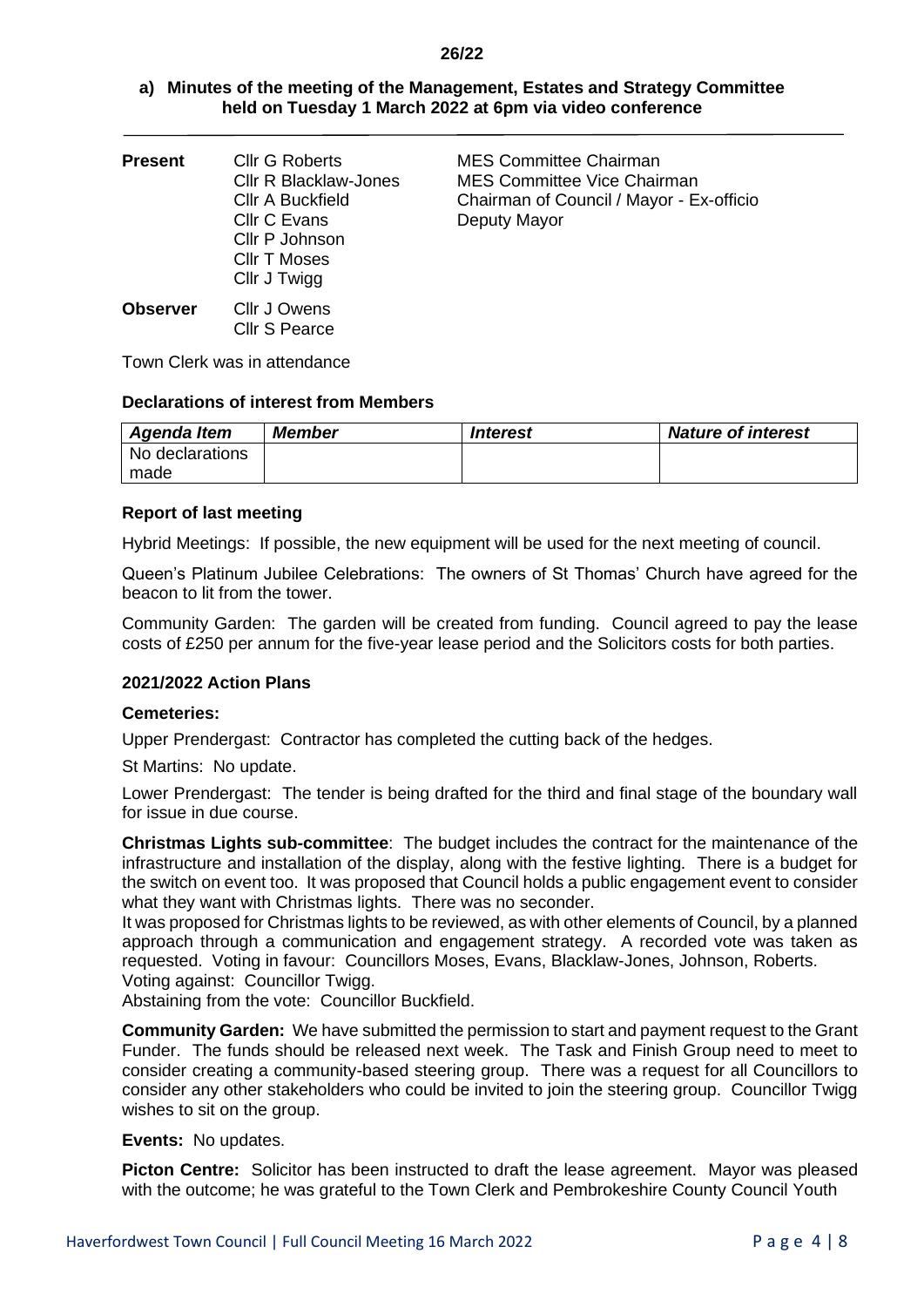| a) Minutes of the meeting of the Management, Estates and Strategy Committee |
|-----------------------------------------------------------------------------|
| held on Tuesday 1 March 2022 at 6pm via video conference                    |

| <b>Present</b>  | <b>Cllr G Roberts</b><br><b>CIIr R Blacklaw-Jones</b><br><b>CIIr A Buckfield</b><br>Cllr C Evans<br>Cllr P Johnson<br><b>CIIr T Moses</b> | <b>MES Committee Chairman</b><br><b>MES Committee Vice Chairman</b><br>Chairman of Council / Mayor - Ex-officio<br>Deputy Mayor |
|-----------------|-------------------------------------------------------------------------------------------------------------------------------------------|---------------------------------------------------------------------------------------------------------------------------------|
|                 | Cllr J Twigg                                                                                                                              |                                                                                                                                 |
| <b>Observer</b> | Cllr J Owens                                                                                                                              |                                                                                                                                 |

Town Clerk was in attendance

## **Declarations of interest from Members**

Cllr S Pearce

| Agenda Item     | <b>Member</b> | <i><u><b>Interest</b></u></i> | <b>Nature of interest</b> |
|-----------------|---------------|-------------------------------|---------------------------|
| No declarations |               |                               |                           |
| made            |               |                               |                           |

## **Report of last meeting**

Hybrid Meetings: If possible, the new equipment will be used for the next meeting of council.

Queen's Platinum Jubilee Celebrations: The owners of St Thomas' Church have agreed for the beacon to lit from the tower.

Community Garden: The garden will be created from funding. Council agreed to pay the lease costs of £250 per annum for the five-year lease period and the Solicitors costs for both parties.

## **2021/2022 Action Plans**

## **Cemeteries:**

Upper Prendergast: Contractor has completed the cutting back of the hedges.

St Martins: No update.

Lower Prendergast: The tender is being drafted for the third and final stage of the boundary wall for issue in due course.

**Christmas Lights sub-committee**: The budget includes the contract for the maintenance of the infrastructure and installation of the display, along with the festive lighting. There is a budget for the switch on event too. It was proposed that Council holds a public engagement event to consider what they want with Christmas lights. There was no seconder.

It was proposed for Christmas lights to be reviewed, as with other elements of Council, by a planned approach through a communication and engagement strategy. A recorded vote was taken as requested. Voting in favour: Councillors Moses, Evans, Blacklaw-Jones, Johnson, Roberts. Voting against: Councillor Twigg.

Abstaining from the vote: Councillor Buckfield.

**Community Garden:** We have submitted the permission to start and payment request to the Grant Funder. The funds should be released next week. The Task and Finish Group need to meet to consider creating a community-based steering group. There was a request for all Councillors to consider any other stakeholders who could be invited to join the steering group. Councillor Twigg wishes to sit on the group.

## **Events:** No updates.

**Picton Centre:** Solicitor has been instructed to draft the lease agreement. Mayor was pleased with the outcome; he was grateful to the Town Clerk and Pembrokeshire County Council Youth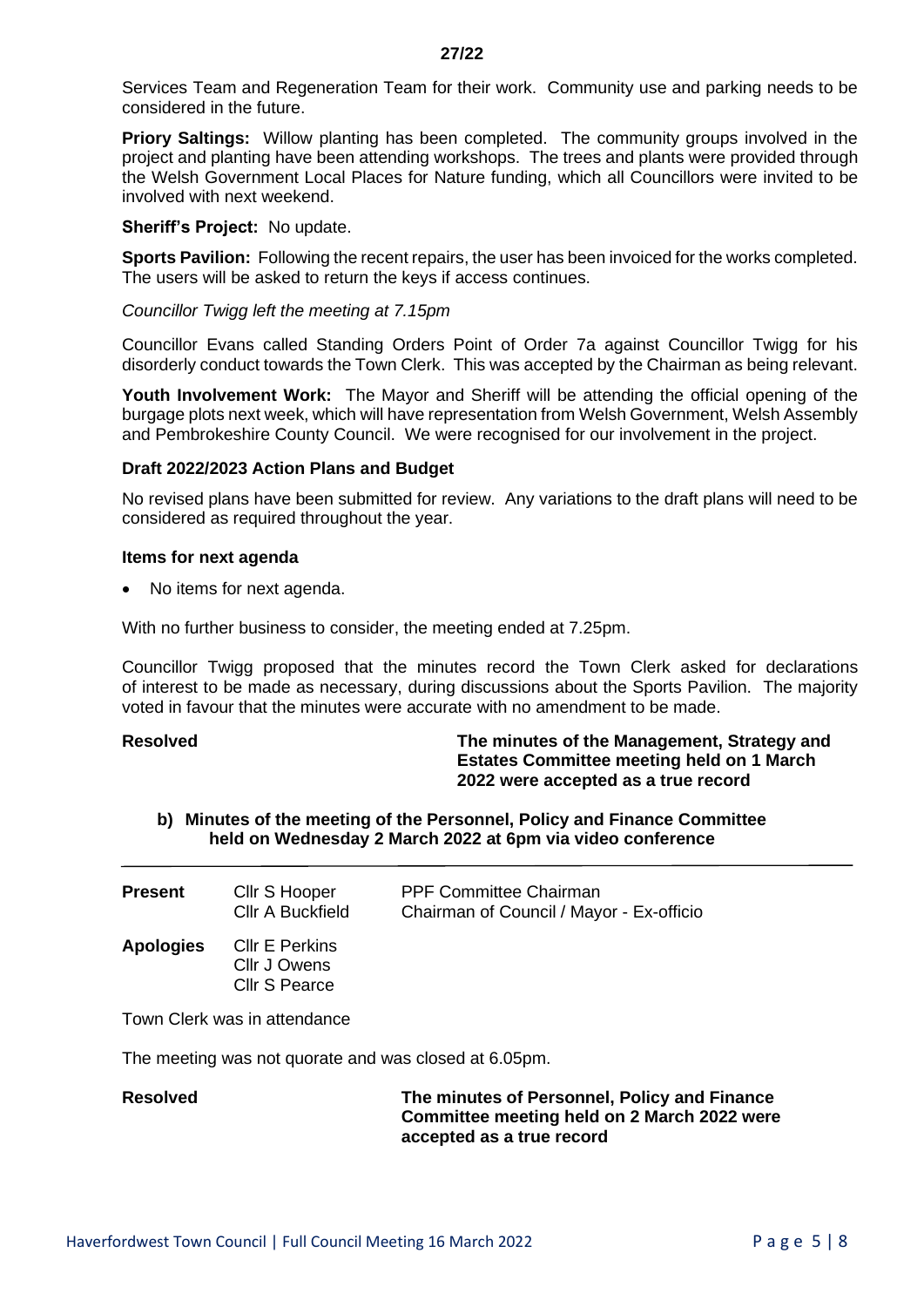Services Team and Regeneration Team for their work. Community use and parking needs to be considered in the future.

**Priory Saltings:** Willow planting has been completed. The community groups involved in the project and planting have been attending workshops. The trees and plants were provided through the Welsh Government Local Places for Nature funding, which all Councillors were invited to be involved with next weekend.

## **Sheriff's Project:** No update.

**Sports Pavilion:** Following the recent repairs, the user has been invoiced for the works completed. The users will be asked to return the keys if access continues.

### *Councillor Twigg left the meeting at 7.15pm*

Councillor Evans called Standing Orders Point of Order 7a against Councillor Twigg for his disorderly conduct towards the Town Clerk. This was accepted by the Chairman as being relevant.

**Youth Involvement Work:** The Mayor and Sheriff will be attending the official opening of the burgage plots next week, which will have representation from Welsh Government, Welsh Assembly and Pembrokeshire County Council. We were recognised for our involvement in the project.

### **Draft 2022/2023 Action Plans and Budget**

No revised plans have been submitted for review. Any variations to the draft plans will need to be considered as required throughout the year.

#### **Items for next agenda**

• No items for next agenda.

With no further business to consider, the meeting ended at 7.25pm.

Councillor Twigg proposed that the minutes record the Town Clerk asked for declarations of interest to be made as necessary, during discussions about the Sports Pavilion. The majority voted in favour that the minutes were accurate with no amendment to be made.

**Resolved The minutes of the Management, Strategy and Estates Committee meeting held on 1 March 2022 were accepted as a true record**

## **b) Minutes of the meeting of the Personnel, Policy and Finance Committee held on Wednesday 2 March 2022 at 6pm via video conference**

| <b>Present</b>   | Cllr S Hooper<br>Cllr A Buckfield                      | <b>PPF Committee Chairman</b><br>Chairman of Council / Mayor - Ex-officio |
|------------------|--------------------------------------------------------|---------------------------------------------------------------------------|
| <b>Apologies</b> | <b>CIIr E Perkins</b><br>Cllr J Owens<br>Cllr S Pearce |                                                                           |
|                  | Town Clerk was in attendance                           |                                                                           |

The meeting was not quorate and was closed at 6.05pm.

**Resolved The minutes of Personnel, Policy and Finance Committee meeting held on 2 March 2022 were accepted as a true record**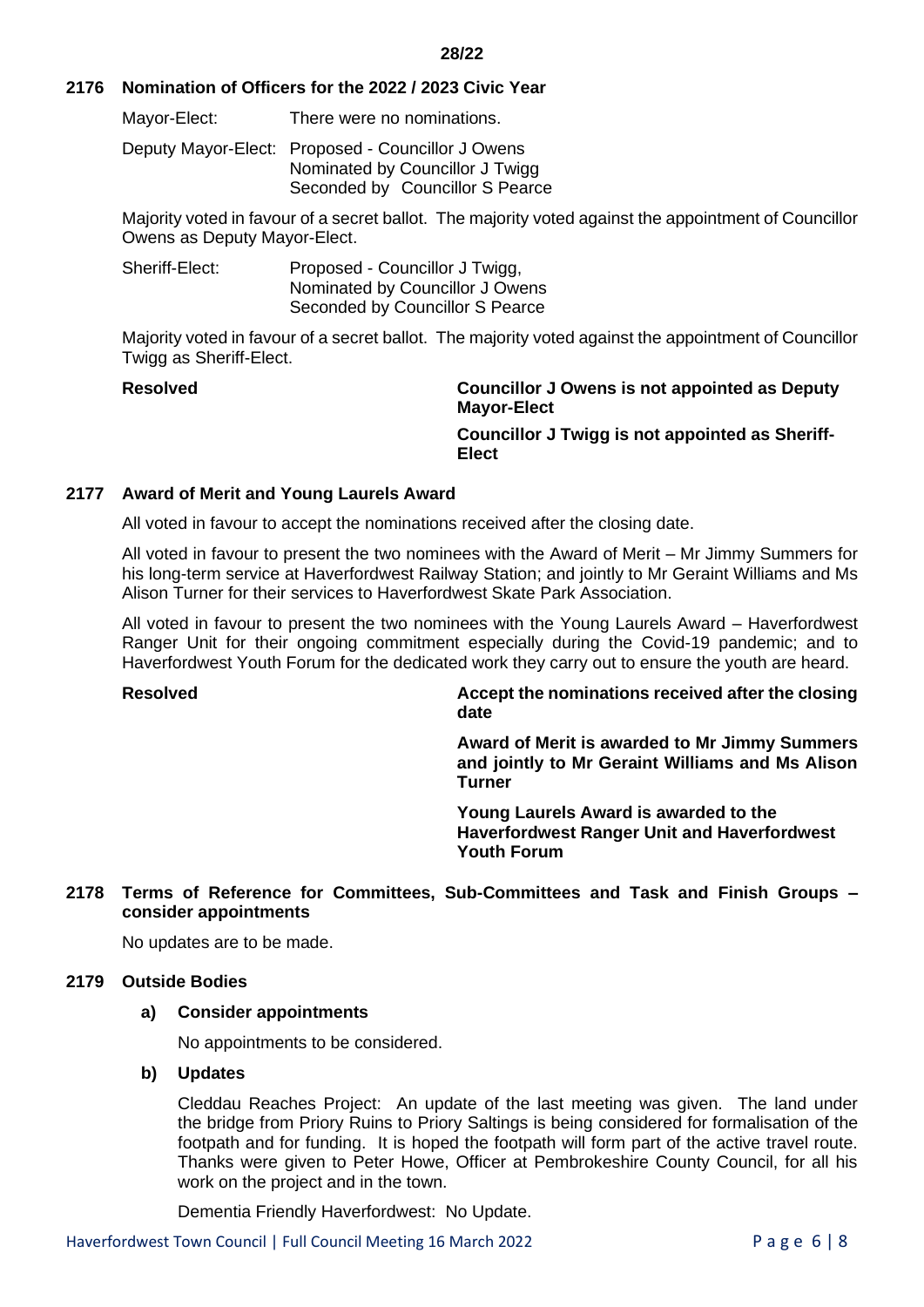## **2176 Nomination of Officers for the 2022 / 2023 Civic Year**

Mayor-Elect: There were no nominations.

Deputy Mayor-Elect: Proposed - Councillor J Owens Nominated by Councillor J Twigg Seconded by Councillor S Pearce

Majority voted in favour of a secret ballot. The majority voted against the appointment of Councillor Owens as Deputy Mayor-Elect.

Sheriff-Elect: Proposed - Councillor J Twigg, Nominated by Councillor J Owens Seconded by Councillor S Pearce

Majority voted in favour of a secret ballot. The majority voted against the appointment of Councillor Twigg as Sheriff-Elect.

**Resolved Councillor J Owens is not appointed as Deputy Mayor-Elect**

> **Councillor J Twigg is not appointed as Sheriff-Elect**

## **2177 Award of Merit and Young Laurels Award**

All voted in favour to accept the nominations received after the closing date.

All voted in favour to present the two nominees with the Award of Merit – Mr Jimmy Summers for his long-term service at Haverfordwest Railway Station; and jointly to Mr Geraint Williams and Ms Alison Turner for their services to Haverfordwest Skate Park Association.

All voted in favour to present the two nominees with the Young Laurels Award – Haverfordwest Ranger Unit for their ongoing commitment especially during the Covid-19 pandemic; and to Haverfordwest Youth Forum for the dedicated work they carry out to ensure the youth are heard.

**Resolved Accept the nominations received after the closing date**

> **Award of Merit is awarded to Mr Jimmy Summers and jointly to Mr Geraint Williams and Ms Alison Turner**

**Young Laurels Award is awarded to the Haverfordwest Ranger Unit and Haverfordwest Youth Forum**

## **2178 Terms of Reference for Committees, Sub-Committees and Task and Finish Groups – consider appointments**

No updates are to be made.

## **2179 Outside Bodies**

## **a) Consider appointments**

No appointments to be considered.

## **b) Updates**

Cleddau Reaches Project: An update of the last meeting was given. The land under the bridge from Priory Ruins to Priory Saltings is being considered for formalisation of the footpath and for funding. It is hoped the footpath will form part of the active travel route. Thanks were given to Peter Howe, Officer at Pembrokeshire County Council, for all his work on the project and in the town.

Dementia Friendly Haverfordwest: No Update.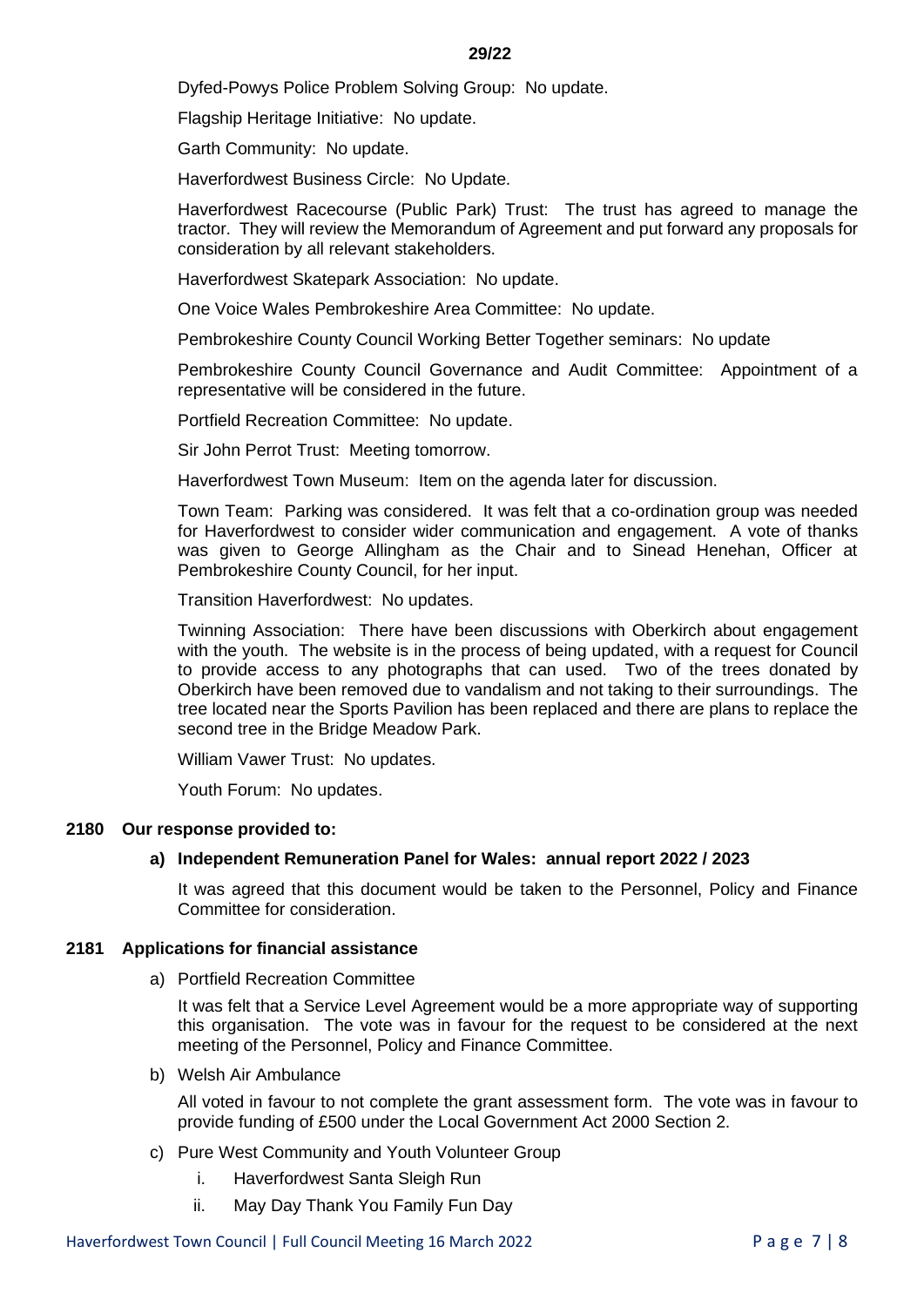Dyfed-Powys Police Problem Solving Group: No update.

Flagship Heritage Initiative: No update.

Garth Community: No update.

Haverfordwest Business Circle: No Update.

Haverfordwest Racecourse (Public Park) Trust: The trust has agreed to manage the tractor. They will review the Memorandum of Agreement and put forward any proposals for consideration by all relevant stakeholders.

Haverfordwest Skatepark Association: No update.

One Voice Wales Pembrokeshire Area Committee: No update.

Pembrokeshire County Council Working Better Together seminars: No update

Pembrokeshire County Council Governance and Audit Committee: Appointment of a representative will be considered in the future.

Portfield Recreation Committee: No update.

Sir John Perrot Trust: Meeting tomorrow.

Haverfordwest Town Museum: Item on the agenda later for discussion.

Town Team: Parking was considered. It was felt that a co-ordination group was needed for Haverfordwest to consider wider communication and engagement. A vote of thanks was given to George Allingham as the Chair and to Sinead Henehan, Officer at Pembrokeshire County Council, for her input.

Transition Haverfordwest: No updates.

Twinning Association: There have been discussions with Oberkirch about engagement with the youth. The website is in the process of being updated, with a request for Council to provide access to any photographs that can used. Two of the trees donated by Oberkirch have been removed due to vandalism and not taking to their surroundings. The tree located near the Sports Pavilion has been replaced and there are plans to replace the second tree in the Bridge Meadow Park.

William Vawer Trust: No updates.

Youth Forum: No updates.

## **2180 Our response provided to:**

## **a) Independent Remuneration Panel for Wales: annual report 2022 / 2023**

It was agreed that this document would be taken to the Personnel, Policy and Finance Committee for consideration.

## **2181 Applications for financial assistance**

a) Portfield Recreation Committee

It was felt that a Service Level Agreement would be a more appropriate way of supporting this organisation. The vote was in favour for the request to be considered at the next meeting of the Personnel, Policy and Finance Committee.

b) Welsh Air Ambulance

All voted in favour to not complete the grant assessment form. The vote was in favour to provide funding of £500 under the Local Government Act 2000 Section 2.

- c) Pure West Community and Youth Volunteer Group
	- i. Haverfordwest Santa Sleigh Run
	- ii. May Day Thank You Family Fun Day